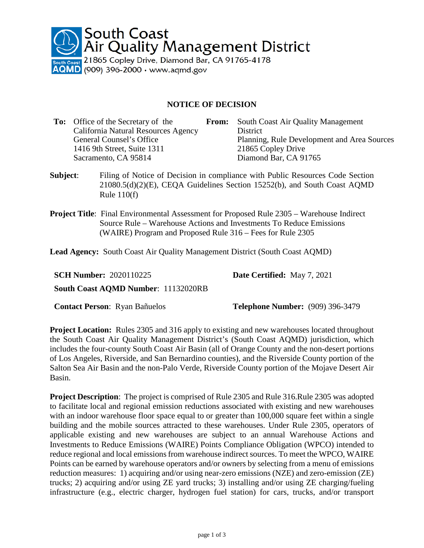

## **NOTICE OF DECISION**

| <b>To:</b> Office of the Secretary of the | From: | South Coast Air Quality Management          |
|-------------------------------------------|-------|---------------------------------------------|
| California Natural Resources Agency       |       | District                                    |
| General Counsel's Office                  |       | Planning, Rule Development and Area Sources |
| 1416 9th Street, Suite 1311               |       | 21865 Copley Drive                          |
| Sacramento, CA 95814                      |       | Diamond Bar, CA 91765                       |
|                                           |       |                                             |

- **Subject**: Filing of Notice of Decision in compliance with Public Resources Code Section 21080.5(d)(2)(E), CEQA Guidelines Section 15252(b), and South Coast AQMD Rule 110(f)
- **Project Title**: Final Environmental Assessment for Proposed Rule 2305 Warehouse Indirect Source Rule – Warehouse Actions and Investments To Reduce Emissions (WAIRE) Program and Proposed Rule 316 – Fees for Rule 2305

**Lead Agency:** South Coast Air Quality Management District (South Coast AQMD)

| <b>SCH Number: 2020110225</b>              | <b>Date Certified:</b> May 7, 2021 |
|--------------------------------------------|------------------------------------|
| <b>South Coast AQMD Number: 11132020RB</b> |                                    |
|                                            |                                    |

**Contact Person**: Ryan Bañuelos **Telephone Number:** (909) 396-3479

**Project Location:** Rules 2305 and 316 apply to existing and new warehouses located throughout the South Coast Air Quality Management District's (South Coast AQMD) jurisdiction, which includes the four-county South Coast Air Basin (all of Orange County and the non-desert portions of Los Angeles, Riverside, and San Bernardino counties), and the Riverside County portion of the Salton Sea Air Basin and the non-Palo Verde, Riverside County portion of the Mojave Desert Air Basin.

**Project Description**: The project is comprised of Rule 2305 and Rule 316.Rule 2305 was adopted to facilitate local and regional emission reductions associated with existing and new warehouses with an indoor warehouse floor space equal to or greater than 100,000 square feet within a single building and the mobile sources attracted to these warehouses. Under Rule 2305, operators of applicable existing and new warehouses are subject to an annual Warehouse Actions and Investments to Reduce Emissions (WAIRE) Points Compliance Obligation (WPCO) intended to reduce regional and local emissions from warehouse indirect sources. To meet the WPCO, WAIRE Points can be earned by warehouse operators and/or owners by selecting from a menu of emissions reduction measures: 1) acquiring and/or using near-zero emissions (NZE) and zero-emission (ZE) trucks; 2) acquiring and/or using ZE yard trucks; 3) installing and/or using ZE charging/fueling infrastructure (e.g., electric charger, hydrogen fuel station) for cars, trucks, and/or transport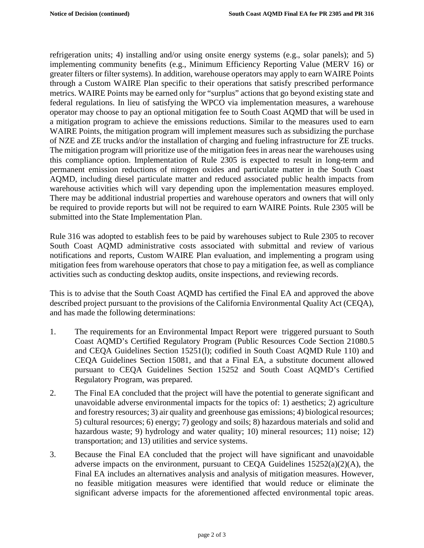refrigeration units; 4) installing and/or using onsite energy systems (e.g., solar panels); and 5) implementing community benefits (e.g., Minimum Efficiency Reporting Value (MERV 16) or greater filters or filter systems). In addition, warehouse operators may apply to earn WAIRE Points through a Custom WAIRE Plan specific to their operations that satisfy prescribed performance metrics. WAIRE Points may be earned only for "surplus" actions that go beyond existing state and federal regulations. In lieu of satisfying the WPCO via implementation measures, a warehouse operator may choose to pay an optional mitigation fee to South Coast AQMD that will be used in a mitigation program to achieve the emissions reductions. Similar to the measures used to earn WAIRE Points, the mitigation program will implement measures such as subsidizing the purchase of NZE and ZE trucks and/or the installation of charging and fueling infrastructure for ZE trucks. The mitigation program will prioritize use of the mitigation fees in areas near the warehouses using this compliance option. Implementation of Rule 2305 is expected to result in long-term and permanent emission reductions of nitrogen oxides and particulate matter in the South Coast AQMD, including diesel particulate matter and reduced associated public health impacts from warehouse activities which will vary depending upon the implementation measures employed. There may be additional industrial properties and warehouse operators and owners that will only be required to provide reports but will not be required to earn WAIRE Points. Rule 2305 will be submitted into the State Implementation Plan.

Rule 316 was adopted to establish fees to be paid by warehouses subject to Rule 2305 to recover South Coast AQMD administrative costs associated with submittal and review of various notifications and reports, Custom WAIRE Plan evaluation, and implementing a program using mitigation fees from warehouse operators that chose to pay a mitigation fee, as well as compliance activities such as conducting desktop audits, onsite inspections, and reviewing records.

This is to advise that the South Coast AQMD has certified the Final EA and approved the above described project pursuant to the provisions of the California Environmental Quality Act (CEQA), and has made the following determinations:

- 1. The requirements for an Environmental Impact Report were triggered pursuant to South Coast AQMD's Certified Regulatory Program (Public Resources Code Section 21080.5 and CEQA Guidelines Section 15251(l); codified in South Coast AQMD Rule 110) and CEQA Guidelines Section 15081, and that a Final EA, a substitute document allowed pursuant to CEQA Guidelines Section 15252 and South Coast AQMD's Certified Regulatory Program, was prepared.
- 2. The Final EA concluded that the project will have the potential to generate significant and unavoidable adverse environmental impacts for the topics of: 1) aesthetics; 2) agriculture and forestry resources; 3) air quality and greenhouse gas emissions; 4) biological resources; 5) cultural resources; 6) energy; 7) geology and soils; 8) hazardous materials and solid and hazardous waste; 9) hydrology and water quality; 10) mineral resources; 11) noise; 12) transportation; and 13) utilities and service systems.
- 3. Because the Final EA concluded that the project will have significant and unavoidable adverse impacts on the environment, pursuant to CEQA Guidelines 15252(a)(2)(A), the Final EA includes an alternatives analysis and analysis of mitigation measures. However, no feasible mitigation measures were identified that would reduce or eliminate the significant adverse impacts for the aforementioned affected environmental topic areas.